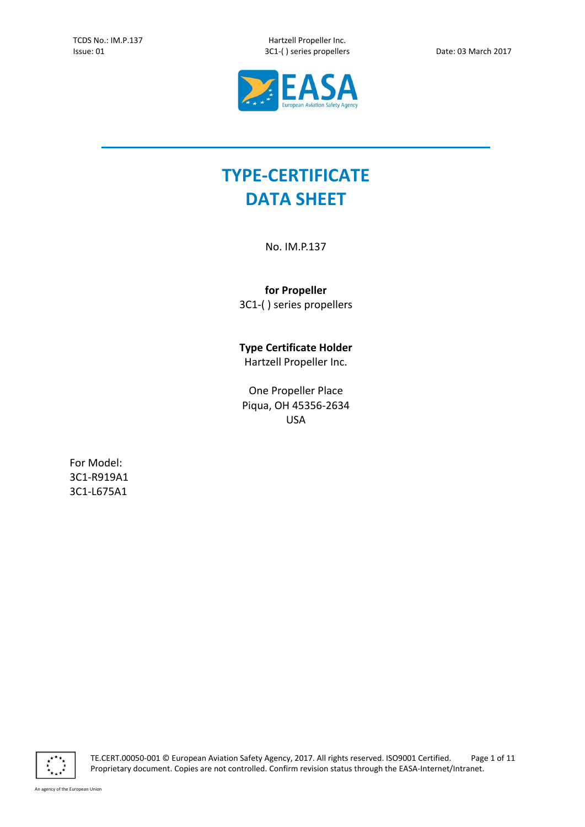TCDS No.: IM.P.137 Hartzell Propeller Inc.<br>
Issue: 01 (1) series propeller 3C1-() series propellers Date: 03 March 2017



# **TYPE‐CERTIFICATE DATA SHEET**

No. IM.P.137

# **for Propeller**

3C1‐( ) series propellers

# **Type Certificate Holder**

Hartzell Propeller Inc.

One Propeller Place Piqua, OH 45356‐2634 USA

For Model: 3C1‐R919A1 3C1‐L675A1



TE.CERT.00050‐001 © European Aviation Safety Agency, 2017. All rights reserved. ISO9001 Certified. Page 1 of 11 Proprietary document. Copies are not controlled. Confirm revision status through the EASA‐Internet/Intranet.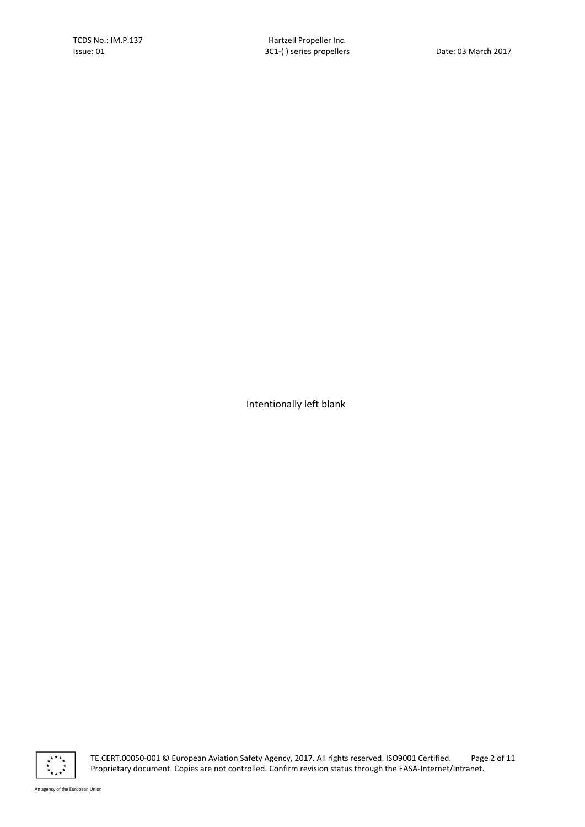Intentionally left blank



TE.CERT.00050‐001 © European Aviation Safety Agency, 2017. All rights reserved. ISO9001 Certified. Page 2 of 11 Proprietary document. Copies are not controlled. Confirm revision status through the EASA‐Internet/Intranet.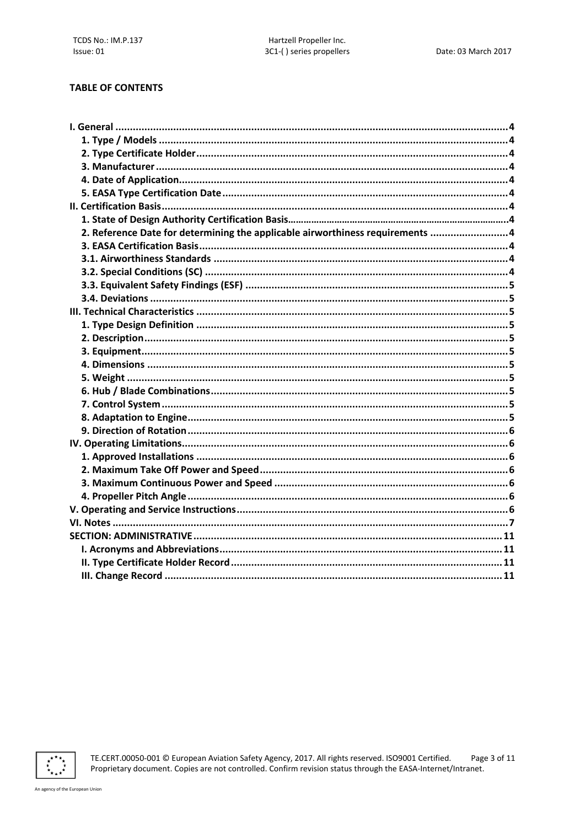# **TABLE OF CONTENTS**

| 2. Reference Date for determining the applicable airworthiness requirements  4 |  |
|--------------------------------------------------------------------------------|--|
|                                                                                |  |
|                                                                                |  |
|                                                                                |  |
|                                                                                |  |
|                                                                                |  |
|                                                                                |  |
|                                                                                |  |
|                                                                                |  |
|                                                                                |  |
|                                                                                |  |
|                                                                                |  |
|                                                                                |  |
|                                                                                |  |
|                                                                                |  |
|                                                                                |  |
|                                                                                |  |
|                                                                                |  |
|                                                                                |  |
|                                                                                |  |
|                                                                                |  |
|                                                                                |  |
|                                                                                |  |
|                                                                                |  |
|                                                                                |  |
|                                                                                |  |
|                                                                                |  |
|                                                                                |  |

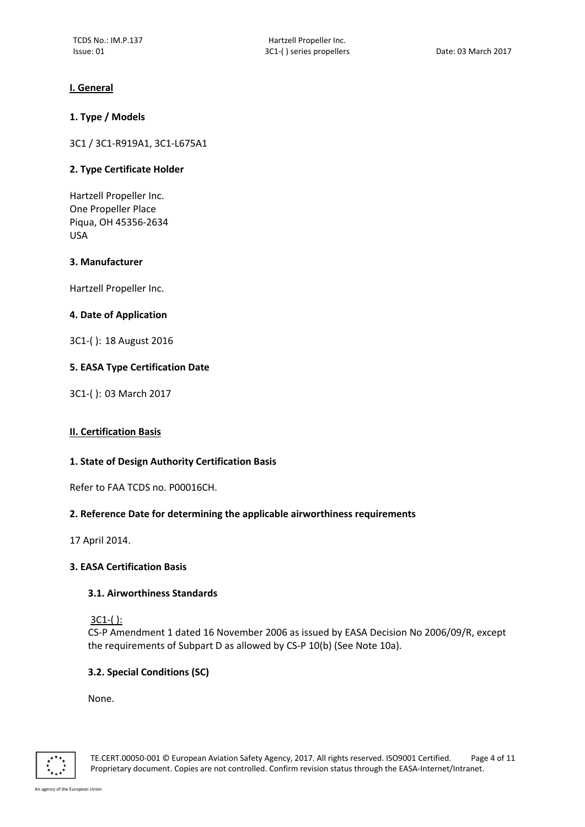# **I. General**

# **1. Type / Models**

3C1 / 3C1‐R919A1, 3C1‐L675A1

# **2. Type Certificate Holder**

Hartzell Propeller Inc. One Propeller Place Piqua, OH 45356‐2634 USA

#### **3. Manufacturer**

Hartzell Propeller Inc.

#### **4. Date of Application**

3C1‐( ): 18 August 2016

#### **5. EASA Type Certification Date**

3C1‐( ): 03 March 2017

#### **II. Certification Basis**

#### **1. State of Design Authority Certification Basis**

Refer to FAA TCDS no. P00016CH.

#### **2. Reference Date for determining the applicable airworthiness requirements**

17 April 2014.

#### **3. EASA Certification Basis**

#### **3.1. Airworthiness Standards**

 $3C1-($  ):

CS‐P Amendment 1 dated 16 November 2006 as issued by EASA Decision No 2006/09/R, except the requirements of Subpart D as allowed by CS‐P 10(b) (See Note 10a).

#### **3.2. Special Conditions (SC)**

None.

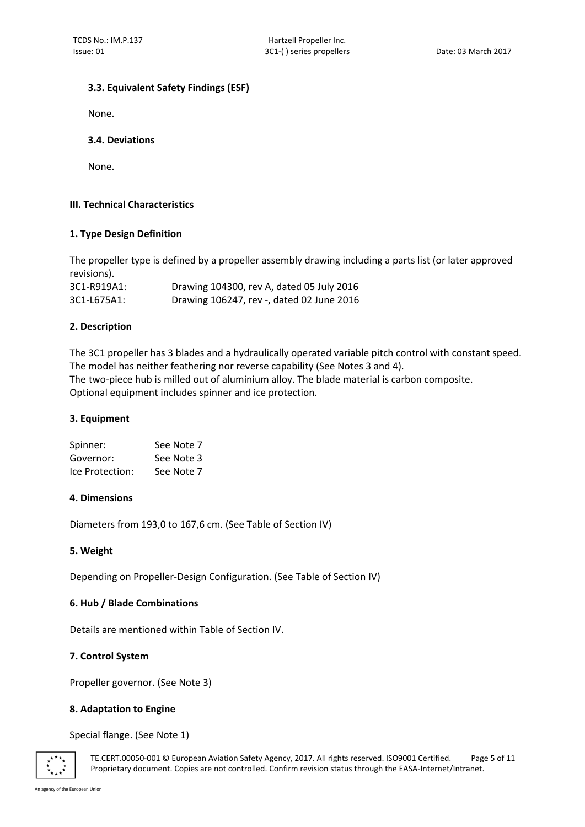# **3.3. Equivalent Safety Findings (ESF)**

None.

# **3.4. Deviations**

None.

# **III. Technical Characteristics**

#### **1. Type Design Definition**

The propeller type is defined by a propeller assembly drawing including a parts list (or later approved revisions). 3C1‐R919A1: Drawing 104300, rev A, dated 05 July 2016 3C1‐L675A1: Drawing 106247, rev ‐, dated 02 June 2016

#### **2. Description**

The 3C1 propeller has 3 blades and a hydraulically operated variable pitch control with constant speed. The model has neither feathering nor reverse capability (See Notes 3 and 4). The two-piece hub is milled out of aluminium alloy. The blade material is carbon composite. Optional equipment includes spinner and ice protection.

#### **3. Equipment**

| Spinner:        | See Note 7 |
|-----------------|------------|
| Governor:       | See Note 3 |
| Ice Protection: | See Note 7 |

#### **4. Dimensions**

Diameters from 193,0 to 167,6 cm. (See Table of Section IV)

#### **5. Weight**

Depending on Propeller‐Design Configuration. (See Table of Section IV)

#### **6. Hub / Blade Combinations**

Details are mentioned within Table of Section IV.

#### **7. Control System**

Propeller governor. (See Note 3)

#### **8. Adaptation to Engine**

#### Special flange. (See Note 1)



TE.CERT.00050‐001 © European Aviation Safety Agency, 2017. All rights reserved. ISO9001 Certified. Page 5 of 11 Proprietary document. Copies are not controlled. Confirm revision status through the EASA‐Internet/Intranet.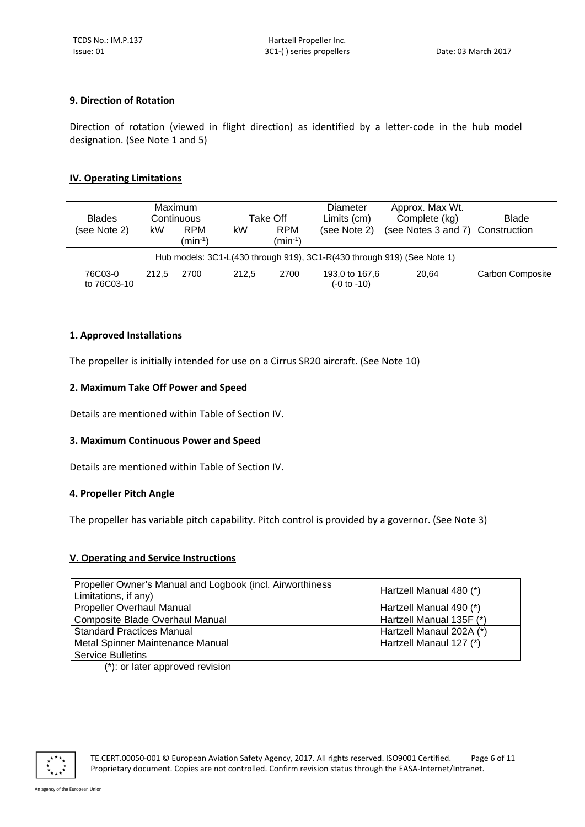# **9. Direction of Rotation**

Direction of rotation (viewed in flight direction) as identified by a letter-code in the hub model designation. (See Note 1 and 5)

# **IV. Operating Limitations**

| <b>Blades</b>          |       | Maximum<br>Continuous              |       | Take Off                   | Diameter<br>Limits (cm)           | Approx. Max Wt.<br>Complete (kg)                                        | <b>Blade</b>            |
|------------------------|-------|------------------------------------|-------|----------------------------|-----------------------------------|-------------------------------------------------------------------------|-------------------------|
| (see Note 2)           | kW    | <b>RPM</b><br>(min <sup>-1</sup> ) | kW    | <b>RPM</b><br>$(min^{-1})$ | (see Note 2)                      | (see Notes 3 and 7) Construction                                        |                         |
|                        |       |                                    |       |                            |                                   | Hub models: 3C1-L(430 through 919), 3C1-R(430 through 919) (See Note 1) |                         |
| 76C03-0<br>to 76C03-10 | 212.5 | 2700                               | 212.5 | 2700                       | 193,0 to 167,6<br>$(-0)$ to $-10$ | 20.64                                                                   | <b>Carbon Composite</b> |

#### **1. Approved Installations**

The propeller is initially intended for use on a Cirrus SR20 aircraft. (See Note 10)

#### **2. Maximum Take Off Power and Speed**

Details are mentioned within Table of Section IV.

#### **3. Maximum Continuous Power and Speed**

Details are mentioned within Table of Section IV.

#### **4. Propeller Pitch Angle**

The propeller has variable pitch capability. Pitch control is provided by a governor. (See Note 3)

#### **V. Operating and Service Instructions**

| Propeller Owner's Manual and Logbook (incl. Airworthiness<br>Limitations, if any) | Hartzell Manual 480 (*)  |
|-----------------------------------------------------------------------------------|--------------------------|
| <b>Propeller Overhaul Manual</b>                                                  | Hartzell Manual 490 (*)  |
| <b>Composite Blade Overhaul Manual</b>                                            | Hartzell Manual 135F (*) |
| <b>Standard Practices Manual</b>                                                  | Hartzell Manaul 202A (*) |
| Metal Spinner Maintenance Manual                                                  | Hartzell Manaul 127 (*)  |
| <b>Service Bulletins</b>                                                          |                          |

(\*): or later approved revision

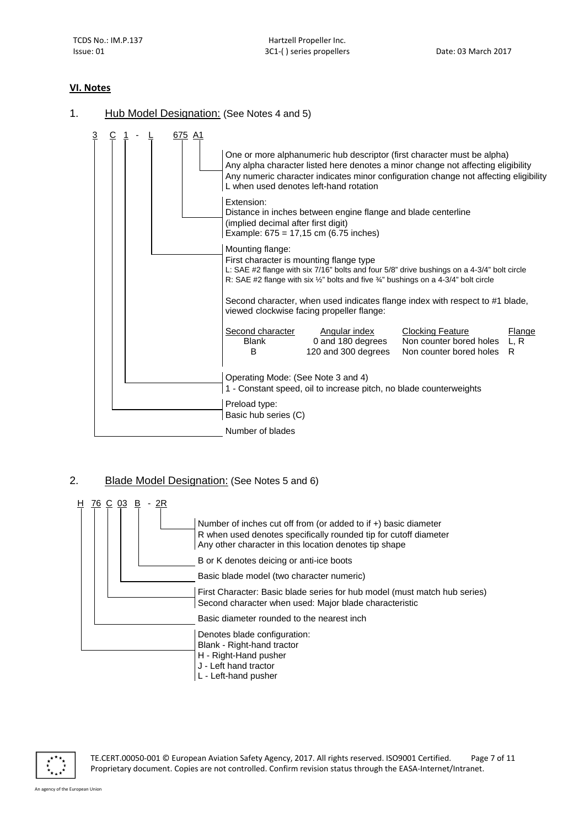# **VI. Notes**

| 1. |        | Hub Model Designation: (See Notes 4 and 5)                                                                                                                                                                                                                                                                                                                                                          |                                                                    |                                                                                                                                                                                                                                                     |                       |
|----|--------|-----------------------------------------------------------------------------------------------------------------------------------------------------------------------------------------------------------------------------------------------------------------------------------------------------------------------------------------------------------------------------------------------------|--------------------------------------------------------------------|-----------------------------------------------------------------------------------------------------------------------------------------------------------------------------------------------------------------------------------------------------|-----------------------|
|    | 675 A1 | L when used denotes left-hand rotation                                                                                                                                                                                                                                                                                                                                                              |                                                                    | One or more alphanumeric hub descriptor (first character must be alpha)<br>Any alpha character listed here denotes a minor change not affecting eligibility<br>Any numeric character indicates minor configuration change not affecting eligibility |                       |
|    |        | Extension:<br>(implied decimal after first digit)<br>Example: $675 = 17,15$ cm (6.75 inches)                                                                                                                                                                                                                                                                                                        | Distance in inches between engine flange and blade centerline      |                                                                                                                                                                                                                                                     |                       |
|    |        | Mounting flange:<br>First character is mounting flange type<br>L: SAE #2 flange with six 7/16" bolts and four 5/8" drive bushings on a 4-3/4" bolt circle<br>R: SAE #2 flange with six $\frac{1}{2}$ " bolts and five $\frac{3}{4}$ " bushings on a 4-3/4" bolt circle<br>Second character, when used indicates flange index with respect to #1 blade,<br>viewed clockwise facing propeller flange: |                                                                    |                                                                                                                                                                                                                                                     |                       |
|    |        | Second character<br>Blank<br>B                                                                                                                                                                                                                                                                                                                                                                      | Angular index<br>0 and 180 degrees<br>120 and 300 degrees          | <b>Clocking Feature</b><br>Non counter bored holes<br>Non counter bored holes R                                                                                                                                                                     | <b>Flange</b><br>L, R |
|    |        | Operating Mode: (See Note 3 and 4)                                                                                                                                                                                                                                                                                                                                                                  | 1 - Constant speed, oil to increase pitch, no blade counterweights |                                                                                                                                                                                                                                                     |                       |
|    |        | Preload type:<br>Basic hub series (C)                                                                                                                                                                                                                                                                                                                                                               |                                                                    |                                                                                                                                                                                                                                                     |                       |
|    |        | Number of blades                                                                                                                                                                                                                                                                                                                                                                                    |                                                                    |                                                                                                                                                                                                                                                     |                       |

# 2. Blade Model Designation: (See Notes 5 and 6)



 $\ddot{\ddot{\bm{x}}}$ 

TE.CERT.00050‐001 © European Aviation Safety Agency, 2017. All rights reserved. ISO9001 Certified. Page 7 of 11 Proprietary document. Copies are not controlled. Confirm revision status through the EASA‐Internet/Intranet.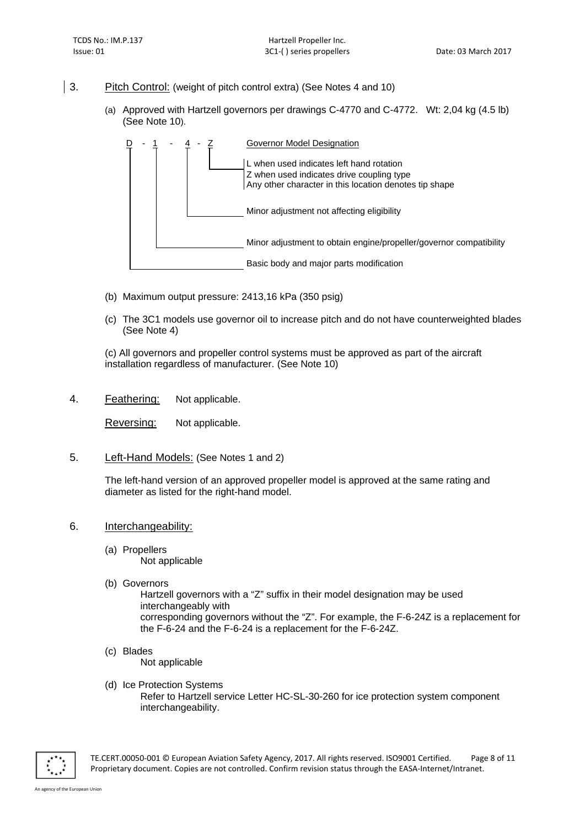- 3. Pitch Control: (weight of pitch control extra) (See Notes 4 and 10)
	- (a) Approved with Hartzell governors per drawings C-4770 and C-4772. Wt: 2,04 kg (4.5 lb) (See Note 10).

|  | Governor Model Designation                                                                                                                      |
|--|-------------------------------------------------------------------------------------------------------------------------------------------------|
|  | L when used indicates left hand rotation<br>Z when used indicates drive coupling type<br>Any other character in this location denotes tip shape |
|  | Minor adjustment not affecting eligibility                                                                                                      |
|  | Minor adjustment to obtain engine/propeller/governor compatibility                                                                              |
|  | Basic body and major parts modification                                                                                                         |

- (b) Maximum output pressure: 2413,16 kPa (350 psig)
- (c) The 3C1 models use governor oil to increase pitch and do not have counterweighted blades (See Note 4)

(c) All governors and propeller control systems must be approved as part of the aircraft installation regardless of manufacturer. (See Note 10)

4. Feathering: Not applicable.

Reversing: Not applicable.

5. Left-Hand Models: (See Notes 1 and 2)

The left-hand version of an approved propeller model is approved at the same rating and diameter as listed for the right-hand model.

- 6. Interchangeability:
	- (a) Propellers Not applicable
	- (b) Governors

Hartzell governors with a "Z" suffix in their model designation may be used interchangeably with corresponding governors without the "Z". For example, the F-6-24Z is a replacement for the F-6-24 and the F-6-24 is a replacement for the F-6-24Z.

- (c) Blades
	- Not applicable
- (d) Ice Protection Systems Refer to Hartzell service Letter HC-SL-30-260 for ice protection system component interchangeability.



TE.CERT.00050‐001 © European Aviation Safety Agency, 2017. All rights reserved. ISO9001 Certified. Page 8 of 11 Proprietary document. Copies are not controlled. Confirm revision status through the EASA‐Internet/Intranet.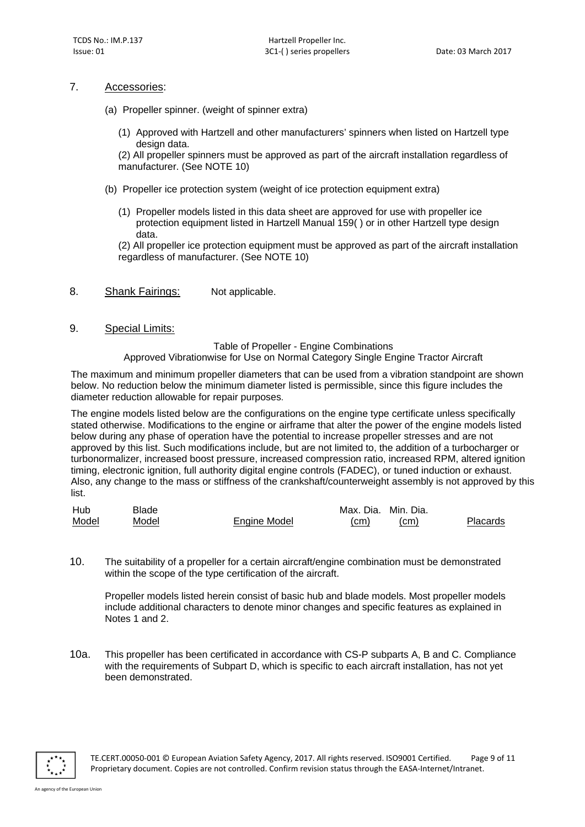#### 7. Accessories:

- (a) Propeller spinner. (weight of spinner extra)
	- (1) Approved with Hartzell and other manufacturers' spinners when listed on Hartzell type design data.

(2) All propeller spinners must be approved as part of the aircraft installation regardless of manufacturer. (See NOTE 10)

- (b) Propeller ice protection system (weight of ice protection equipment extra)
	- (1) Propeller models listed in this data sheet are approved for use with propeller ice protection equipment listed in Hartzell Manual 159( ) or in other Hartzell type design data.

(2) All propeller ice protection equipment must be approved as part of the aircraft installation regardless of manufacturer. (See NOTE 10)

8. Shank Fairings: Not applicable.

#### 9. Special Limits:

Table of Propeller - Engine Combinations Approved Vibrationwise for Use on Normal Category Single Engine Tractor Aircraft

The maximum and minimum propeller diameters that can be used from a vibration standpoint are shown below. No reduction below the minimum diameter listed is permissible, since this figure includes the diameter reduction allowable for repair purposes.

The engine models listed below are the configurations on the engine type certificate unless specifically stated otherwise. Modifications to the engine or airframe that alter the power of the engine models listed below during any phase of operation have the potential to increase propeller stresses and are not approved by this list. Such modifications include, but are not limited to, the addition of a turbocharger or turbonormalizer, increased boost pressure, increased compression ratio, increased RPM, altered ignition timing, electronic ignition, full authority digital engine controls (FADEC), or tuned induction or exhaust. Also, any change to the mass or stiffness of the crankshaft/counterweight assembly is not approved by this list.

| Hub   | <b>Blade</b> |              | Max. Dia. | Min. Dia. |          |
|-------|--------------|--------------|-----------|-----------|----------|
| Model | Model        | Engine Model | (cm)      | (cm)      | Placards |

10. The suitability of a propeller for a certain aircraft/engine combination must be demonstrated within the scope of the type certification of the aircraft.

Propeller models listed herein consist of basic hub and blade models. Most propeller models include additional characters to denote minor changes and specific features as explained in Notes 1 and 2.

10a. This propeller has been certificated in accordance with CS-P subparts A, B and C. Compliance with the requirements of Subpart D, which is specific to each aircraft installation, has not yet been demonstrated.



TE.CERT.00050‐001 © European Aviation Safety Agency, 2017. All rights reserved. ISO9001 Certified. Page 9 of 11 Proprietary document. Copies are not controlled. Confirm revision status through the EASA‐Internet/Intranet.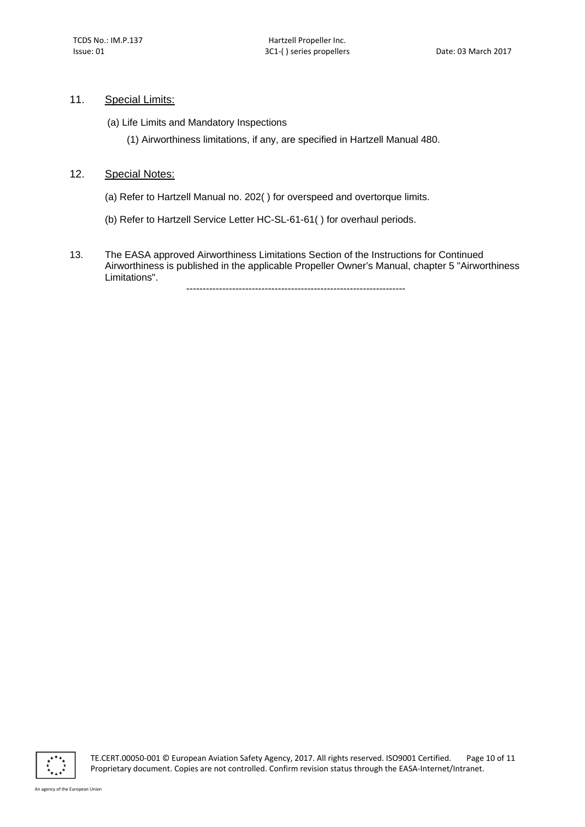#### 11. Special Limits:

- (a) Life Limits and Mandatory Inspections
	- (1) Airworthiness limitations, if any, are specified in Hartzell Manual 480.

#### 12. Special Notes:

- (a) Refer to Hartzell Manual no. 202( ) for overspeed and overtorque limits.
- (b) Refer to Hartzell Service Letter HC-SL-61-61( ) for overhaul periods.
- 13. The EASA approved Airworthiness Limitations Section of the Instructions for Continued Airworthiness is published in the applicable Propeller Owner's Manual, chapter 5 "Airworthiness Limitations".

-------------------------------------------------------------------



TE.CERT.00050‐001 © European Aviation Safety Agency, 2017. All rights reserved. ISO9001 Certified. Page 10 of 11 Proprietary document. Copies are not controlled. Confirm revision status through the EASA‐Internet/Intranet.